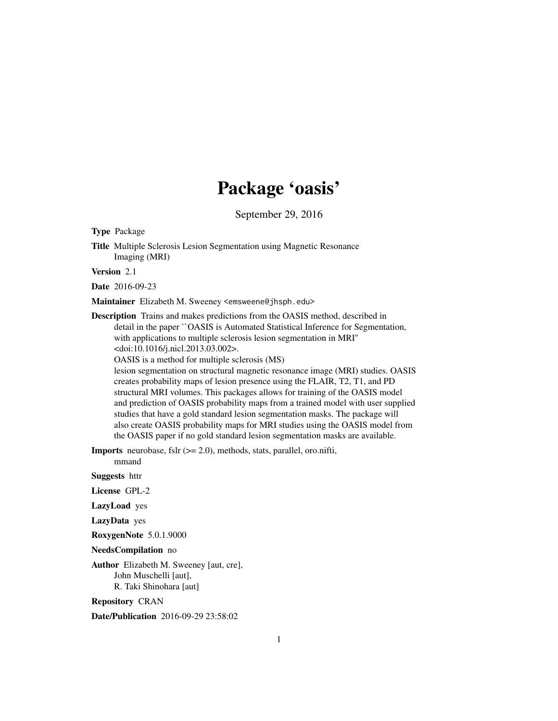# Package 'oasis'

September 29, 2016

<span id="page-0-0"></span>Type Package

Title Multiple Sclerosis Lesion Segmentation using Magnetic Resonance Imaging (MRI)

Version 2.1

Date 2016-09-23

Maintainer Elizabeth M. Sweeney <emsweene@jhsph.edu>

Description Trains and makes predictions from the OASIS method, described in detail in the paper ``OASIS is Automated Statistical Inference for Segmentation, with applications to multiple sclerosis lesion segmentation in MRI'' <doi:10.1016/j.nicl.2013.03.002>.

OASIS is a method for multiple sclerosis (MS)

lesion segmentation on structural magnetic resonance image (MRI) studies. OASIS creates probability maps of lesion presence using the FLAIR, T2, T1, and PD structural MRI volumes. This packages allows for training of the OASIS model and prediction of OASIS probability maps from a trained model with user supplied studies that have a gold standard lesion segmentation masks. The package will also create OASIS probability maps for MRI studies using the OASIS model from the OASIS paper if no gold standard lesion segmentation masks are available.

**Imports** neurobase, fslr  $(>= 2.0)$ , methods, stats, parallel, oro.nifti,

Suggests httr

License GPL-2

mmand

LazyLoad yes

LazyData yes

RoxygenNote 5.0.1.9000

NeedsCompilation no

Author Elizabeth M. Sweeney [aut, cre], John Muschelli [aut], R. Taki Shinohara [aut]

Repository CRAN

Date/Publication 2016-09-29 23:58:02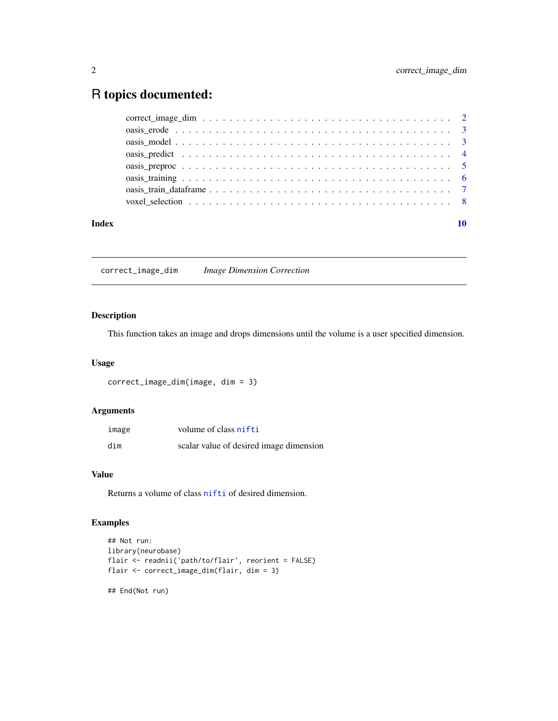## <span id="page-1-0"></span>R topics documented:

| Index |  |
|-------|--|
|       |  |
|       |  |
|       |  |
|       |  |
|       |  |
|       |  |
|       |  |
|       |  |

correct\_image\_dim *Image Dimension Correction*

### Description

This function takes an image and drops dimensions until the volume is a user specified dimension.

#### Usage

```
correct_image_dim(image, dim = 3)
```
#### Arguments

| image | volume of class nifti                   |
|-------|-----------------------------------------|
| dim   | scalar value of desired image dimension |

#### Value

Returns a volume of class [nifti](#page-0-0) of desired dimension.

#### Examples

```
## Not run:
library(neurobase)
flair <- readnii('path/to/flair', reorient = FALSE)
flair <- correct_image_dim(flair, dim = 3)
## End(Not run)
```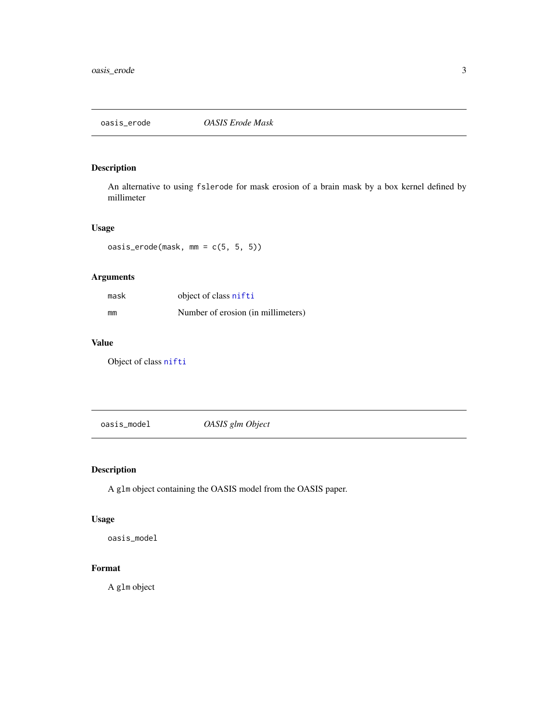<span id="page-2-1"></span><span id="page-2-0"></span>

### Description

An alternative to using fslerode for mask erosion of a brain mask by a box kernel defined by millimeter

#### Usage

oasis\_erode(mask, mm = c(5, 5, 5))

### Arguments

| mask | object of class nifti              |
|------|------------------------------------|
| mm   | Number of erosion (in millimeters) |

#### Value

Object of class [nifti](#page-0-0)

oasis\_model *OASIS glm Object*

#### Description

A glm object containing the OASIS model from the OASIS paper.

#### Usage

oasis\_model

#### Format

A glm object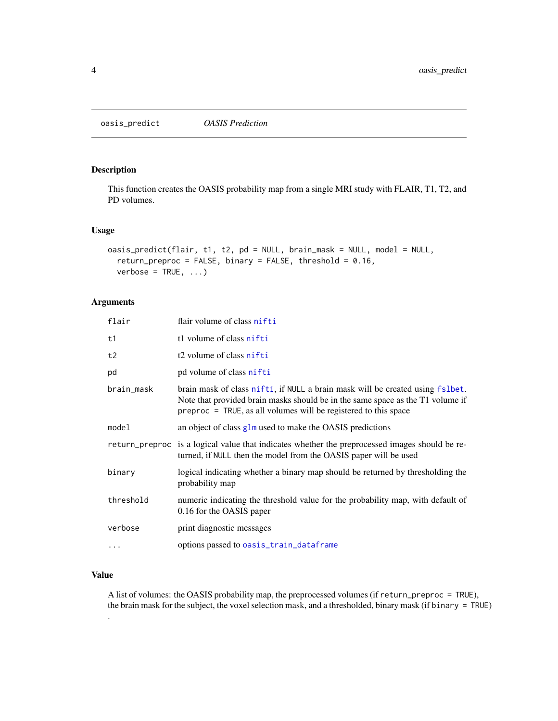<span id="page-3-1"></span><span id="page-3-0"></span>oasis\_predict *OASIS Prediction*

#### Description

This function creates the OASIS probability map from a single MRI study with FLAIR, T1, T2, and PD volumes.

#### Usage

```
oasis_predict(flair, t1, t2, pd = NULL, brain_mask = NULL, model = NULL,
  return_preproc = FALSE, binary = FALSE, threshold = 0.16,
 verbose = TRUE, ...)
```
#### Arguments

| flair      | flair volume of class nifti                                                                                                                                                                                                           |
|------------|---------------------------------------------------------------------------------------------------------------------------------------------------------------------------------------------------------------------------------------|
| t1         | t1 volume of class nifti                                                                                                                                                                                                              |
| t2         | t <sub>2</sub> volume of class nifti                                                                                                                                                                                                  |
| pd         | pd volume of class nifti                                                                                                                                                                                                              |
| brain_mask | brain mask of class nifti, if NULL a brain mask will be created using fslbet.<br>Note that provided brain masks should be in the same space as the T1 volume if<br>$preproc = TRUE$ , as all volumes will be registered to this space |
| model      | an object of class glm used to make the OASIS predictions                                                                                                                                                                             |
|            | return_preproc is a logical value that indicates whether the preprocessed images should be re-<br>turned, if NULL then the model from the OASIS paper will be used                                                                    |
| binary     | logical indicating whether a binary map should be returned by thresholding the<br>probability map                                                                                                                                     |
| threshold  | numeric indicating the threshold value for the probability map, with default of<br>0.16 for the OASIS paper                                                                                                                           |
| verbose    | print diagnostic messages                                                                                                                                                                                                             |
| $\ddots$   | options passed to oasis_train_dataframe                                                                                                                                                                                               |

#### Value

.

A list of volumes: the OASIS probability map, the preprocessed volumes (if return\_preproc = TRUE), the brain mask for the subject, the voxel selection mask, and a thresholded, binary mask (if binary = TRUE)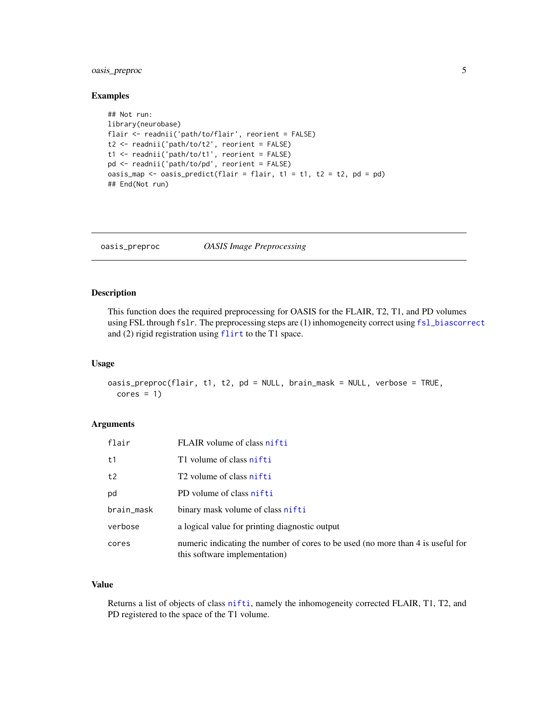#### <span id="page-4-0"></span>oasis\_preproc 5

#### Examples

```
## Not run:
library(neurobase)
flair <- readnii('path/to/flair', reorient = FALSE)
t2 <- readnii('path/to/t2', reorient = FALSE)
t1 <- readnii('path/to/t1', reorient = FALSE)
pd <- readnii('path/to/pd', reorient = FALSE)
oasis_map <- oasis_predict(flair = flair, t1 = t1, t2 = t2, pd = pd)
## End(Not run)
```
<span id="page-4-1"></span>oasis\_preproc *OASIS Image Preprocessing*

#### Description

This function does the required preprocessing for OASIS for the FLAIR, T2, T1, and PD volumes using FSL through fslr. The preprocessing steps are (1) inhomogeneity correct using [fsl\\_biascorrect](#page-0-0) and (2) rigid registration using [flirt](#page-0-0) to the T1 space.

#### Usage

```
oasis_preproc(flair, t1, t2, pd = NULL, brain_mask = NULL, verbose = TRUE,
  cores = 1)
```
#### Arguments

| flair      | FLAIR volume of class nifti                                                                                      |
|------------|------------------------------------------------------------------------------------------------------------------|
| t1         | T1 volume of class nifti                                                                                         |
| t2         | T <sub>2</sub> volume of class nifti                                                                             |
| pd         | PD volume of class nifti                                                                                         |
| brain_mask | binary mask volume of class nifti                                                                                |
| verbose    | a logical value for printing diagnostic output                                                                   |
| cores      | numeric indicating the number of cores to be used (no more than 4 is useful for<br>this software implementation) |

#### Value

Returns a list of objects of class [nifti](#page-0-0), namely the inhomogeneity corrected FLAIR, T1, T2, and PD registered to the space of the T1 volume.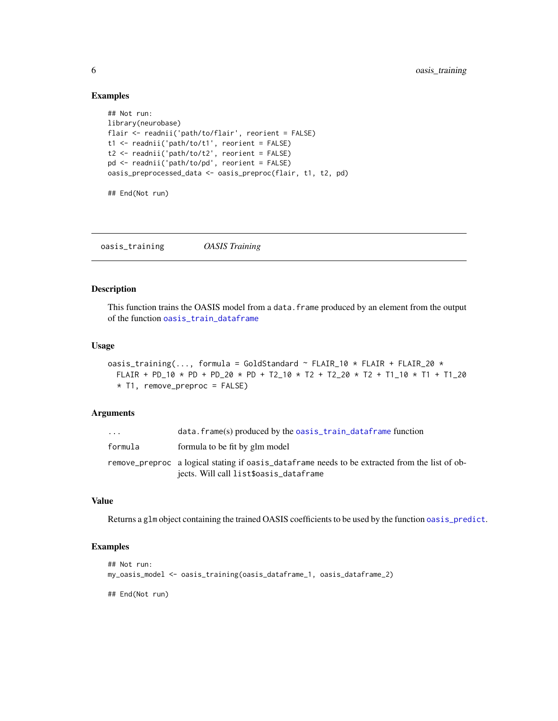#### Examples

```
## Not run:
library(neurobase)
flair <- readnii('path/to/flair', reorient = FALSE)
t1 <- readnii('path/to/t1', reorient = FALSE)
t2 <- readnii('path/to/t2', reorient = FALSE)
pd <- readnii('path/to/pd', reorient = FALSE)
oasis_preprocessed_data <- oasis_preproc(flair, t1, t2, pd)
## End(Not run)
```
<span id="page-5-1"></span>oasis\_training *OASIS Training*

#### Description

This function trains the OASIS model from a data.frame produced by an element from the output of the function [oasis\\_train\\_dataframe](#page-6-1)

#### Usage

oasis\_training(..., formula = GoldStandard  $\sim$  FLAIR\_10  $\star$  FLAIR + FLAIR\_20  $\star$ FLAIR + PD\_10 \* PD + PD\_20 \* PD + T2\_10 \* T2 + T2\_20 \* T2 + T1\_10 \* T1 + T1\_20 \* T1, remove\_preproc = FALSE)

#### **Arguments**

| $\ddotsc$ | data.frame(s) produced by the oasis_train_dataframe function                                                                             |
|-----------|------------------------------------------------------------------------------------------------------------------------------------------|
| formula   | formula to be fit by glm model                                                                                                           |
|           | remove preproc a logical stating if oasis dataframe needs to be extracted from the list of ob-<br>jects. Will call list\$oasis_dataframe |

### Value

Returns a glm object containing the trained OASIS coefficients to be used by the function [oasis\\_predict](#page-3-1).

#### Examples

```
## Not run:
my_oasis_model <- oasis_training(oasis_dataframe_1, oasis_dataframe_2)
## End(Not run)
```
<span id="page-5-0"></span>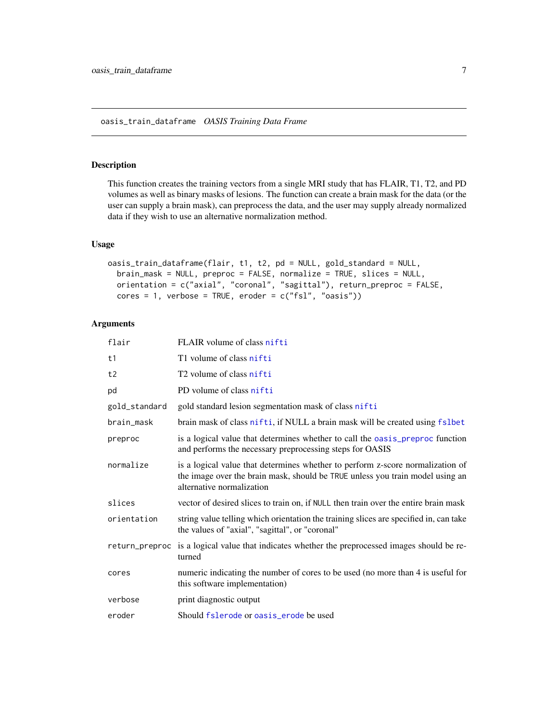#### <span id="page-6-1"></span><span id="page-6-0"></span>Description

This function creates the training vectors from a single MRI study that has FLAIR, T1, T2, and PD volumes as well as binary masks of lesions. The function can create a brain mask for the data (or the user can supply a brain mask), can preprocess the data, and the user may supply already normalized data if they wish to use an alternative normalization method.

#### Usage

```
oasis_train_dataframe(flair, t1, t2, pd = NULL, gold_standard = NULL,
 brain_mask = NULL, preproc = FALSE, normalize = TRUE, slices = NULL,
 orientation = c("axial", "coronal", "sagittal"), return_preproc = FALSE,
  cores = 1, verbose = TRUE, eroder = c("fsl", "oasis"))
```
#### Arguments

| flair          | FLAIR volume of class nifti                                                                                                                                                                  |
|----------------|----------------------------------------------------------------------------------------------------------------------------------------------------------------------------------------------|
| t1             | T1 volume of class nifti                                                                                                                                                                     |
| t2             | T <sub>2</sub> volume of class nifti                                                                                                                                                         |
| pd             | PD volume of class nifti                                                                                                                                                                     |
| gold_standard  | gold standard lesion segmentation mask of class nifti                                                                                                                                        |
| brain_mask     | brain mask of class nifti, if NULL a brain mask will be created using fslbet                                                                                                                 |
| preproc        | is a logical value that determines whether to call the oasis_preproc function<br>and performs the necessary preprocessing steps for OASIS                                                    |
| normalize      | is a logical value that determines whether to perform z-score normalization of<br>the image over the brain mask, should be TRUE unless you train model using an<br>alternative normalization |
| slices         | vector of desired slices to train on, if NULL then train over the entire brain mask                                                                                                          |
| orientation    | string value telling which orientation the training slices are specified in, can take<br>the values of "axial", "sagittal", or "coronal"                                                     |
| return_preproc | is a logical value that indicates whether the preprocessed images should be re-<br>turned                                                                                                    |
| cores          | numeric indicating the number of cores to be used (no more than 4 is useful for<br>this software implementation)                                                                             |
| verbose        | print diagnostic output                                                                                                                                                                      |
| eroder         | Should fslerode or oasis_erode be used                                                                                                                                                       |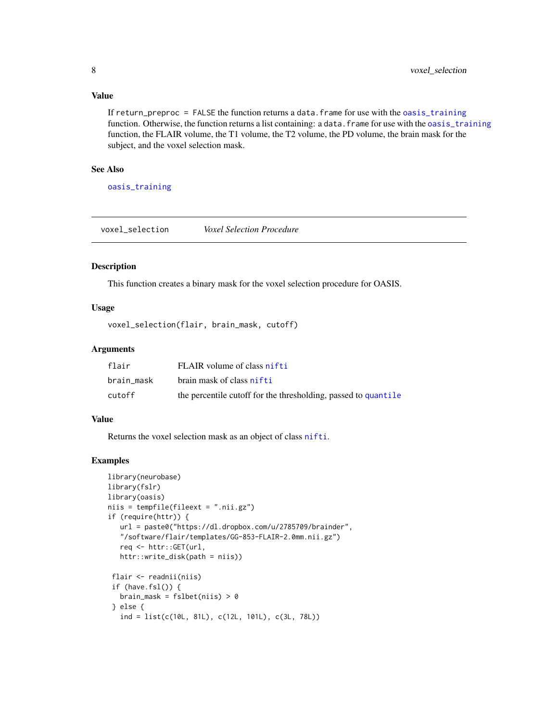#### <span id="page-7-0"></span>Value

If return\_preproc = FALSE the function returns a data. frame for use with the [oasis\\_training](#page-5-1) function. Otherwise, the function returns a list containing: a data. frame for use with the [oasis\\_training](#page-5-1) function, the FLAIR volume, the T1 volume, the T2 volume, the PD volume, the brain mask for the subject, and the voxel selection mask.

#### See Also

[oasis\\_training](#page-5-1)

voxel\_selection *Voxel Selection Procedure*

#### Description

This function creates a binary mask for the voxel selection procedure for OASIS.

#### Usage

```
voxel_selection(flair, brain_mask, cutoff)
```
#### Arguments

| flair      | FLAIR volume of class nifti                                    |
|------------|----------------------------------------------------------------|
| brain mask | brain mask of class nifti                                      |
| cutoff     | the percentile cutoff for the thresholding, passed to quantile |

#### Value

Returns the voxel selection mask as an object of class [nifti](#page-0-0).

#### Examples

```
library(neurobase)
library(fslr)
library(oasis)
niis = tempfile(fileext = ".nii.gz")
if (require(httr)) {
   url = paste0("https://dl.dropbox.com/u/2785709/brainder",
   "/software/flair/templates/GG-853-FLAIR-2.0mm.nii.gz")
   req <- httr::GET(url,
   httr::write_disk(path = niis))
 flair <- readnii(niis)
 if (have.fsl()) {
  brain_mask = fslbet(niis) > 0} else {
   ind = list(c(10L, 81L), c(12L, 101L), c(3L, 78L))
```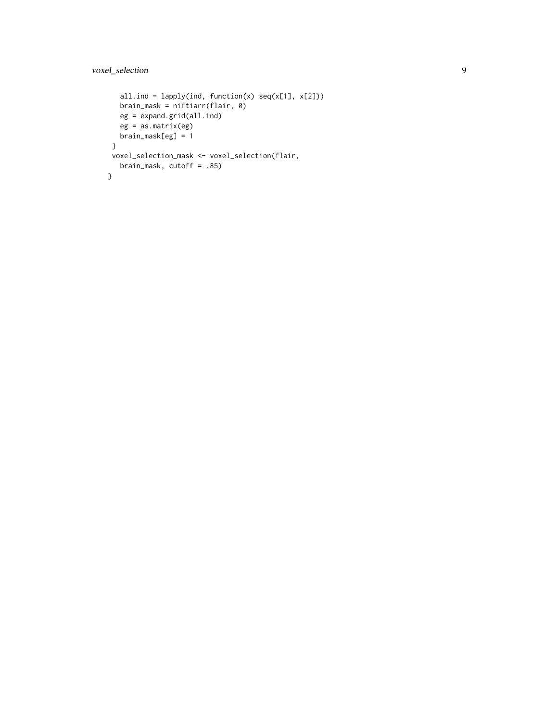```
all.ind = lapply(ind, function(x) seq(x[1], x[2]))brain_mask = niftiarr(flair, 0)
  eg = expand.grid(all.ind)
  eg = as.matrix(eg)
  brain_mask[eg] = 1
}
voxel_selection_mask <- voxel_selection(flair,
  brain_mask, cutoff = .85)
}
```